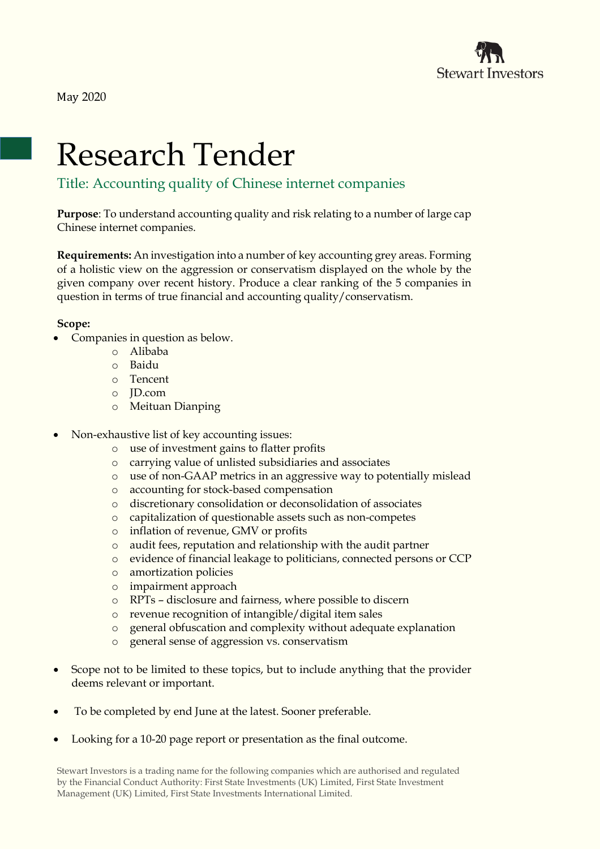

May 2020

## Research Tender

## Title: Accounting quality of Chinese internet companies

**Purpose**: To understand accounting quality and risk relating to a number of large cap Chinese internet companies.

**Requirements:** An investigation into a number of key accounting grey areas. Forming of a holistic view on the aggression or conservatism displayed on the whole by the given company over recent history. Produce a clear ranking of the 5 companies in question in terms of true financial and accounting quality/conservatism.

## **Scope:**

- Companies in question as below.
	- o Alibaba
	- o Baidu
	- o Tencent
	- o JD.com
	- o Meituan Dianping
- Non-exhaustive list of key accounting issues:
	- o use of investment gains to flatter profits
	- o carrying value of unlisted subsidiaries and associates
	- o use of non-GAAP metrics in an aggressive way to potentially mislead
	- o accounting for stock-based compensation
	- o discretionary consolidation or deconsolidation of associates
	- o capitalization of questionable assets such as non-competes
	- o inflation of revenue, GMV or profits
	- o audit fees, reputation and relationship with the audit partner
	- o evidence of financial leakage to politicians, connected persons or CCP
	- o amortization policies
	- o impairment approach
	- o RPTs disclosure and fairness, where possible to discern
	- o revenue recognition of intangible/digital item sales
	- o general obfuscation and complexity without adequate explanation
	- general sense of aggression vs. conservatism
- Scope not to be limited to these topics, but to include anything that the provider deems relevant or important.
- To be completed by end June at the latest. Sooner preferable.
- Looking for a 10-20 page report or presentation as the final outcome.

Stewart Investors is a trading name for the following companies which are authorised and regulated by the Financial Conduct Authority: First State Investments (UK) Limited, First State Investment Management (UK) Limited, First State Investments International Limited.